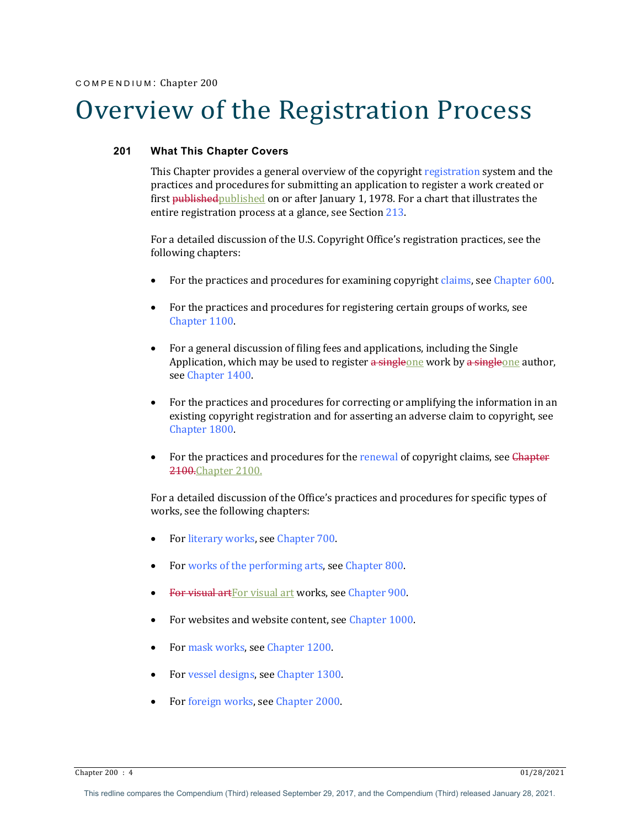# Overview of the Registration Process

## **201 What This Chapter Covers**

This Chapter provides a general overview of the copyright registration system and the practices and procedures for submitting an application to register a work created or first published published on or after January 1, 1978. For a chart that illustrates the entire registration process at a glance, see Section 213.

For a detailed discussion of the U.S. Copyright Office's registration practices, see the following chapters:

- For the practices and procedures for examining copyright claims, see Chapter 600.
- For the practices and procedures for registering certain groups of works, see Chapter 1100.
- For a general discussion of filing fees and applications, including the Single Application, which may be used to register a singleone work by a singleone author, see Chapter 1400.
- For the practices and procedures for correcting or amplifying the information in an existing copyright registration and for asserting an adverse claim to copyright, see Chapter 1800
- For the practices and procedures for the renewal of copyright claims, see Chapter 2100.Chapter 2100.

For a detailed discussion of the Office's practices and procedures for specific types of works, see the following chapters:

- For literary works, see Chapter 700.
- For works of the performing arts, see Chapter 800.
- For visual art For visual art works, see Chapter 900.
- For websites and website content, see Chapter 1000.
- For mask works, see Chapter 1200.
- For vessel designs, see Chapter 1300.
- For foreign works, see Chapter 2000.

 $\frac{1}{28/2021}$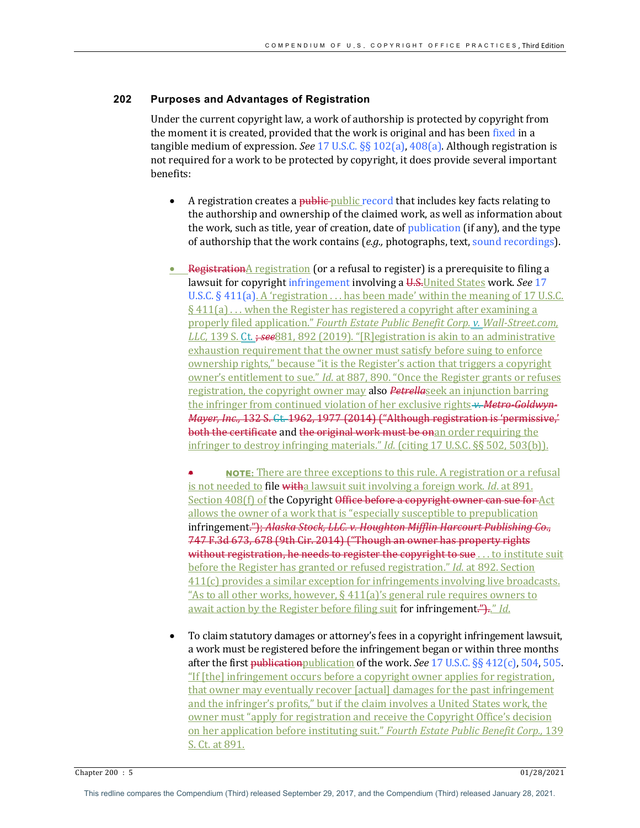## **202 Purposes and Advantages of Registration**

Under the current copyright law, a work of authorship is protected by copyright from the moment it is created, provided that the work is original and has been fixed in a tangible medium of expression. *See* 17 U.S.C. §§ 102(a),  $408(a)$ . Although registration is not required for a work to be protected by copyright, it does provide several important benefits: 

- A registration creates a public-public record that includes key facts relating to the authorship and ownership of the claimed work, as well as information about the work, such as title, year of creation, date of publication (if any), and the type of authorship that the work contains (e.g., photographs, text, sound recordings).
- RegistrationA registration (or a refusal to register) is a prerequisite to filing a lawsuit for copyright infringement involving a U.S. United States work. See 17 U.S.C.  $\S$  411(a). A 'registration  $\dots$  has been made' within the meaning of 17 U.S.C.  $§$  411(a) ... when the Register has registered a copyright after examining a properly filed application." Fourth Estate Public Benefit Corp. v. Wall-Street.com, *LLC*, 139 S. Ct. *; see* 881, 892 (2019). "[R]egistration is akin to an administrative exhaustion requirement that the owner must satisfy before suing to enforce ownership rights," because "it is the Register's action that triggers a copyright owner's entitlement to sue." *Id.* at 887, 890. "Once the Register grants or refuses registration, the copyright owner may also *Petrellaseek* an injunction barring the infringer from continued violation of her exclusive rights **v. Metro-Goldwyn-***Mayer, Inc.,* 132 S. Ct. 1962, 1977 (2014) ("Although registration is 'permissive,' both the certificate and the original work must be onan order requiring the infringer to destroy infringing materials." *Id.* (citing 17 U.S.C. §§ 502, 503(b)).

• **NOTE:** There are three exceptions to this rule. A registration or a refusal is not needed to file witha lawsuit suit involving a foreign work. *Id.* at 891. Section 408(f) of the Copyright Office before a copyright owner can sue for Act allows the owner of a work that is "especially susceptible to prepublication infringement."); Alaska Stock, LLC. v. Houghton Mifflin Harcourt Publishing Co., 747 F.3d 673, 678 (9th Cir. 2014) ("Though an owner has property rights without registration, he needs to register the copyright to sue . . . to institute suit before the Register has granted or refused registration." *Id.* at 892. Section  $411(c)$  provides a similar exception for infringements involving live broadcasts. "As to all other works, however,  $\S$  411(a)'s general rule requires owners to await action by the Register before filing suit for infringement.").." *Id.* 

To claim statutory damages or attorney's fees in a copyright infringement lawsuit, a work must be registered before the infringement began or within three months after the first publication publication of the work. *See* 17 U.S.C.  $\S$ § 412(c), 504, 505. "If [the] infringement occurs before a copyright owner applies for registration, that owner may eventually recover [actual] damages for the past infringement and the infringer's profits," but if the claim involves a United States work, the owner must "apply for registration and receive the Copyright Office's decision on her application before instituting suit." Fourth Estate Public Benefit Corp., 139 S. Ct. at 891.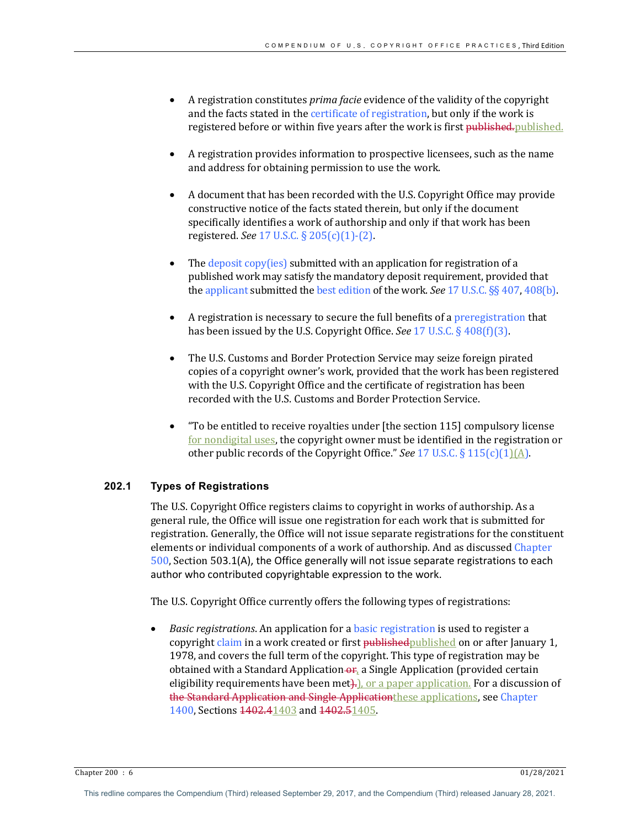- A registration constitutes *prima facie* evidence of the validity of the copyright and the facts stated in the certificate of registration, but only if the work is registered before or within five years after the work is first published.
- A registration provides information to prospective licensees, such as the name and address for obtaining permission to use the work.
- A document that has been recorded with the U.S. Copyright Office may provide constructive notice of the facts stated therein, but only if the document specifically identifies a work of authorship and only if that work has been registered. *See* 17 U.S.C. § 205(c)(1)-(2).
- The  $\frac{deposit\ copy(ies)}{s}$  submitted with an application for registration of a published work may satisfy the mandatory deposit requirement, provided that the applicant submitted the best edition of the work. *See* 17 U.S.C. §§ 407, 408(b).
- A registration is necessary to secure the full benefits of a preregistration that has been issued by the U.S. Copyright Office. *See* 17 U.S.C. § 408(f)(3).
- The U.S. Customs and Border Protection Service may seize foreign pirated copies of a copyright owner's work, provided that the work has been registered with the U.S. Copyright Office and the certificate of registration has been recorded with the U.S. Customs and Border Protection Service.
- "To be entitled to receive royalties under [the section 115] compulsory license for nondigital uses, the copyright owner must be identified in the registration or other public records of the Copyright Office." See 17 U.S.C. § 115(c)(1)(A).

## **202.1 Types of Registrations**

The U.S. Copyright Office registers claims to copyright in works of authorship. As a general rule, the Office will issue one registration for each work that is submitted for registration. Generally, the Office will not issue separate registrations for the constituent elements or individual components of a work of authorship. And as discussed Chapter  $500$ , Section  $503.1(A)$ , the Office generally will not issue separate registrations to each author who contributed copyrightable expression to the work.

The U.S. Copyright Office currently offers the following types of registrations:

*Basic registrations*. An application for a basic registration is used to register a copyright claim in a work created or first published published on or after January 1, 1978, and covers the full term of the copyright. This type of registration may be obtained with a Standard Application  $\Theta$ <sub>r</sub>, a Single Application (provided certain eligibility requirements have been met $\frac{1}{2}$ , or a paper application. For a discussion of the Standard Application and Single Applicationthese applications, see Chapter 1400, Sections 1402.41403 and 1402.51405.

Chapter 200 : 6 01/28/2021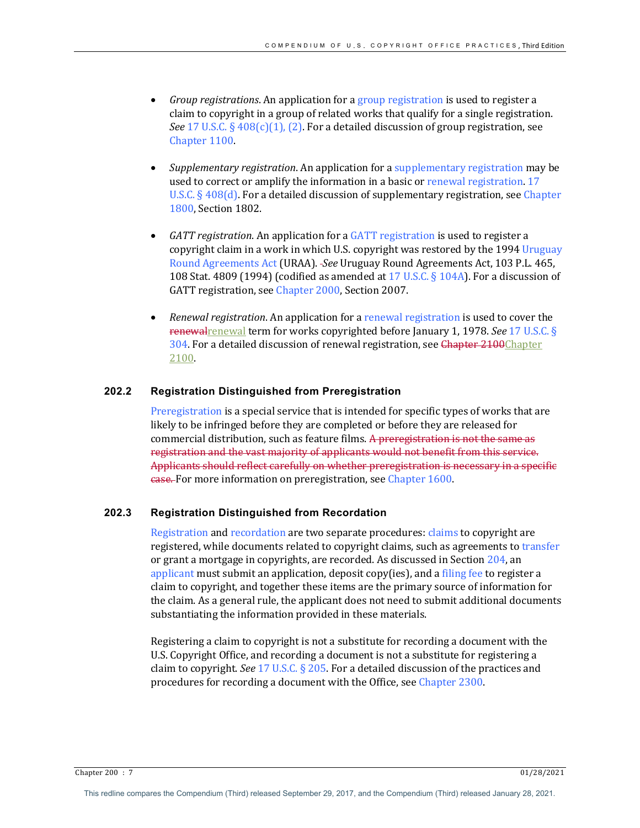- *Group registrations*. An application for a group registration is used to register a claim to copyright in a group of related works that qualify for a single registration. *See* 17 U.S.C.  $\S$  408(c)(1), (2). For a detailed discussion of group registration, see Chapter 1100.
- *Supplementary registration.* An application for a supplementary registration may be used to correct or amplify the information in a basic or renewal registration. 17 U.S.C.  $\S$  408(d). For a detailed discussion of supplementary registration, see Chapter 1800, Section 1802.
- *GATT registration*. An application for a *GATT registration* is used to register a copyright claim in a work in which U.S. copyright was restored by the 1994 Uruguay Round Agreements Act (URAA). -See Uruguay Round Agreements Act, 103 P.L. 465, 108 Stat. 4809 (1994) (codified as amended at 17 U.S.C. § 104A). For a discussion of GATT registration, see Chapter 2000, Section 2007.
- *Renewal registration*. An application for a renewal registration is used to cover the renewalrenewal term for works copyrighted before January 1, 1978. *See* 17 U.S.C. § 304. For a detailed discussion of renewal registration, see Chapter 2100Chapter 2100.

## **202.2 Registration Distinguished from Preregistration**

Preregistration is a special service that is intended for specific types of works that are likely to be infringed before they are completed or before they are released for commercial distribution, such as feature films. A preregistration is not the same as registration and the vast majority of applicants would not benefit from this service. Applicants should reflect carefully on whether preregistration is necessary in a specific **case.** For more information on preregistration, see Chapter 1600.

## **202.3 Registration Distinguished from Recordation**

Registration and recordation are two separate procedures: claims to copyright are registered, while documents related to copyright claims, such as agreements to transfer or grant a mortgage in copyrights, are recorded. As discussed in Section  $204$ , an applicant must submit an application, deposit copy(ies), and a filing fee to register a claim to copyright, and together these items are the primary source of information for the claim. As a general rule, the applicant does not need to submit additional documents substantiating the information provided in these materials.

Registering a claim to copyright is not a substitute for recording a document with the U.S. Copyright Office, and recording a document is not a substitute for registering a claim to copyright. *See* 17 U.S.C.  $\S$  205. For a detailed discussion of the practices and procedures for recording a document with the Office, see Chapter 2300.

Chapter 200 : 7 01/28/2021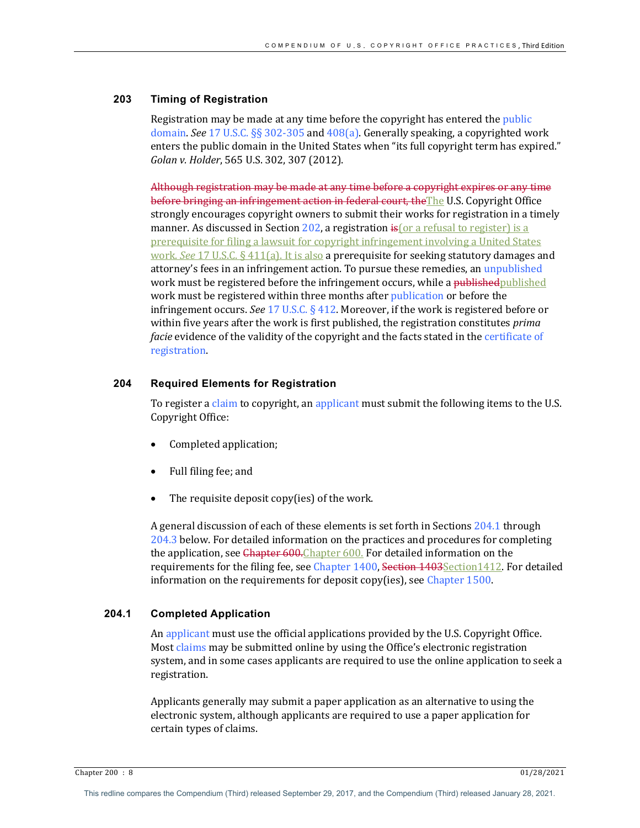## **203 Timing of Registration**

Registration may be made at any time before the copyright has entered the *public* domain. *See* 17 U.S.C. §§ 302-305 and 408(a). Generally speaking, a copyrighted work enters the public domain in the United States when "its full copyright term has expired." *Golan v. Holder*, 565 U.S. 302, 307 (2012). 

Although registration may be made at any time before a copyright expires or any time before bringing an infringement action in federal court, the The U.S. Copyright Office strongly encourages copyright owners to submit their works for registration in a timely manner. As discussed in Section  $202$ , a registration  $\frac{1}{5}$  or a refusal to register) is a prerequisite for filing a lawsuit for copyright infringement involving a United States work. *See* 17 U.S.C. § 411(a). It is also a prerequisite for seeking statutory damages and attorney's fees in an infringement action. To pursue these remedies, an unpublished work must be registered before the infringement occurs, while a published published work must be registered within three months after publication or before the infringement occurs. *See* 17 U.S.C.  $\S$  412. Moreover, if the work is registered before or within five years after the work is first published, the registration constitutes *prima facie* evidence of the validity of the copyright and the facts stated in the certificate of registration.

#### **204 Required Elements for Registration**

To register a claim to copyright, an applicant must submit the following items to the U.S. Copyright Office: 

- Completed application;
- Full filing fee; and
- The requisite deposit copy(ies) of the work.

A general discussion of each of these elements is set forth in Sections 204.1 through 204.3 below. For detailed information on the practices and procedures for completing the application, see Chapter 600. Chapter 600. For detailed information on the requirements for the filing fee, see Chapter 1400, Section 1403Section1412. For detailed information on the requirements for deposit copy(ies), see Chapter 1500.

## **204.1 Completed Application**

An applicant must use the official applications provided by the U.S. Copyright Office. Most claims may be submitted online by using the Office's electronic registration system, and in some cases applicants are required to use the online application to seek a registration. 

Applicants generally may submit a paper application as an alternative to using the electronic system, although applicants are required to use a paper application for certain types of claims.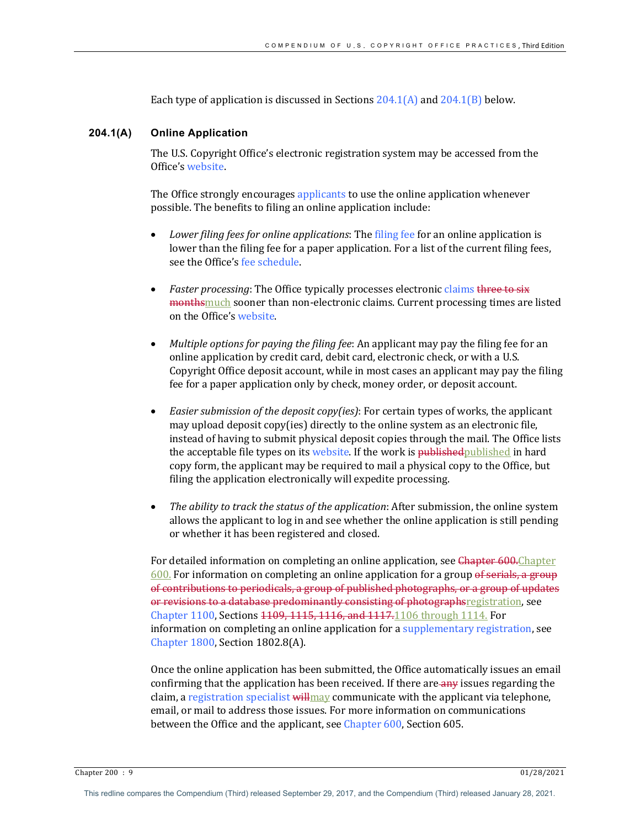Each type of application is discussed in Sections  $204.1(A)$  and  $204.1(B)$  below.

#### **204.1(A) Online Application**

The U.S. Copyright Office's electronic registration system may be accessed from the Office's website.

The Office strongly encourages applicants to use the online application whenever possible. The benefits to filing an online application include:

- *Lower filing fees for online applications*: The filing fee for an online application is lower than the filing fee for a paper application. For a list of the current filing fees, see the Office's fee schedule.
- *Faster processing*: The Office typically processes electronic claims three to six monthsmuch sooner than non-electronic claims. Current processing times are listed on the Office's website.
- *Multiple options for paying the filing fee*: An applicant may pay the filing fee for an online application by credit card, debit card, electronic check, or with a U.S. Copyright Office deposit account, while in most cases an applicant may pay the filing fee for a paper application only by check, money order, or deposit account.
- *Easier submission of the deposit copy(ies)*: For certain types of works, the applicant may upload deposit copy(ies) directly to the online system as an electronic file, instead of having to submit physical deposit copies through the mail. The Office lists the acceptable file types on its website. If the work is published published in hard copy form, the applicant may be required to mail a physical copy to the Office, but filing the application electronically will expedite processing.
- The ability to track the status of the application: After submission, the online system allows the applicant to log in and see whether the online application is still pending or whether it has been registered and closed.

For detailed information on completing an online application, see Chapter 600. Chapter  $600$ . For information on completing an online application for a group of serials, a group of contributions to periodicals, a group of published photographs, or a group of updates or revisions to a database predominantly consisting of photographsregistration, see Chapter 1100, Sections 4409, 1115, 1116, and 1117.1106 through 1114. For information on completing an online application for a supplementary registration, see Chapter  $1800$ , Section  $1802.8(A)$ .

Once the online application has been submitted, the Office automatically issues an email confirming that the application has been received. If there are any issues regarding the claim, a registration specialist will may communicate with the applicant via telephone, email, or mail to address those issues. For more information on communications between the Office and the applicant, see Chapter 600, Section 605.

 $\frac{1}{28/2021}$ 

This redline compares the Compendium (Third) released September 29, 2017, and the Compendium (Third) released January 28, 2021.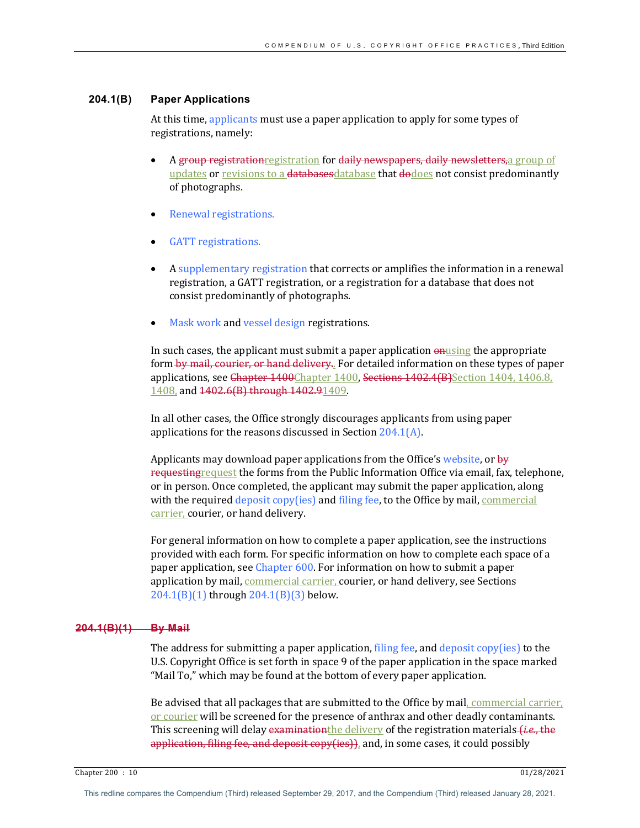#### **204.1(B) Paper Applications**

At this time, applicants must use a paper application to apply for some types of registrations, namely:

- A group registration registration for daily newspapers, daily newsletters, a group of updates or revisions to a databases database that dodoes not consist predominantly of photographs.
- Renewal registrations.
- GATT registrations.
- A supplementary registration that corrects or amplifies the information in a renewal registration, a GATT registration, or a registration for a database that does not consist predominantly of photographs.
- Mask work and vessel design registrations.

In such cases, the applicant must submit a paper application  $\omega$  appropriate form by mail, courier, or hand delivery. For detailed information on these types of paper applications, see Chapter 1400Chapter 1400, Sections 1402.4(B)Section 1404, 1406.8, 1408, and 1402.6(B) through 1402.91409.

In all other cases, the Office strongly discourages applicants from using paper applications for the reasons discussed in Section  $204.1(A)$ .

Applicants may download paper applications from the Office's website, or  $\frac{1}{2}$ requesting request the forms from the Public Information Office via email, fax, telephone, or in person. Once completed, the applicant may submit the paper application, along with the required deposit copy(ies) and filing fee, to the Office by mail, commercial carrier, courier, or hand delivery.

For general information on how to complete a paper application, see the instructions provided with each form. For specific information on how to complete each space of a paper application, see Chapter 600. For information on how to submit a paper application by mail, *commercial carrier*, courier, or hand delivery, see Sections  $204.1(B)(1)$  through  $204.1(B)(3)$  below.

#### **204.1(B)(1) By Mail**

The address for submitting a paper application, filing fee, and deposit  $\text{copy}(\text{ies})$  to the U.S. Copyright Office is set forth in space 9 of the paper application in the space marked "Mail To," which may be found at the bottom of every paper application.

Be advised that all packages that are submitted to the Office by mail, commercial carrier, or courier will be screened for the presence of anthrax and other deadly contaminants. This screening will delay examinationthe delivery of the registration materials *(i.e.,* the application, filing fee, and deposit  $copy(ies)$ , and, in some cases, it could possibly

Chapter 200 : 10 01/28/2021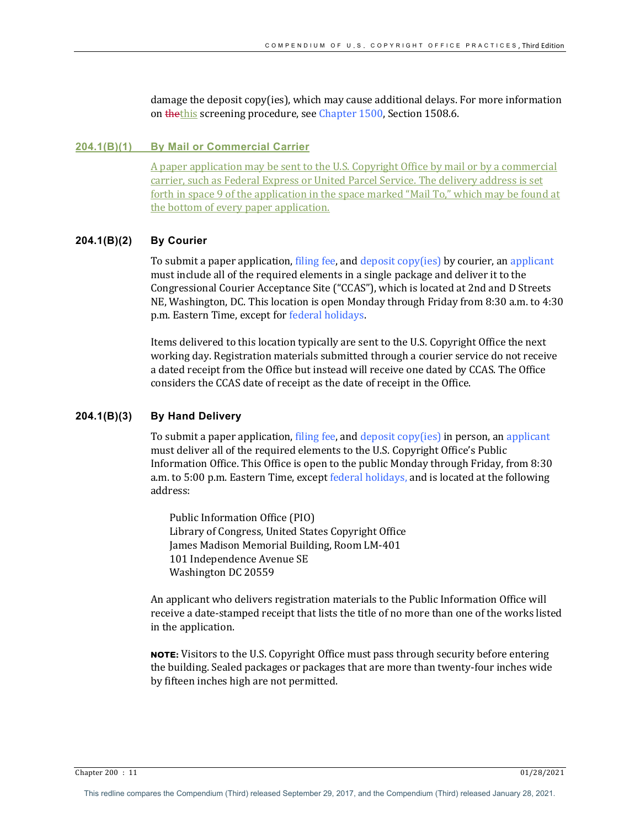damage the deposit copy(ies), which may cause additional delays. For more information on thethis screening procedure, see Chapter 1500, Section 1508.6.

#### **204.1(B)(1) By Mail or Commercial Carrier**

A paper application may be sent to the U.S. Copyright Office by mail or by a commercial carrier, such as Federal Express or United Parcel Service. The delivery address is set forth in space  $9$  of the application in the space marked "Mail To," which may be found at the bottom of every paper application.

### **204.1(B)(2) By Courier**

To submit a paper application, filing fee, and deposit copy(ies) by courier, an applicant must include all of the required elements in a single package and deliver it to the Congressional Courier Acceptance Site ("CCAS"), which is located at 2nd and D Streets NE, Washington, DC. This location is open Monday through Friday from 8:30 a.m. to 4:30 p.m. Eastern Time, except for federal holidays.

Items delivered to this location typically are sent to the U.S. Copyright Office the next working day. Registration materials submitted through a courier service do not receive a dated receipt from the Office but instead will receive one dated by CCAS. The Office considers the CCAS date of receipt as the date of receipt in the Office.

#### **204.1(B)(3) By Hand Delivery**

To submit a paper application, filing fee, and deposit  $copy(ies)$  in person, an applicant must deliver all of the required elements to the U.S. Copyright Office's Public Information Office. This Office is open to the public Monday through Friday, from  $8:30$ a.m. to 5:00 p.m. Eastern Time, except federal holidays, and is located at the following address:

Public Information Office (PIO) Library of Congress, United States Copyright Office James Madison Memorial Building, Room LM-401 101 Independence Avenue SE Washington DC 20559

An applicant who delivers registration materials to the Public Information Office will receive a date-stamped receipt that lists the title of no more than one of the works listed in the application.

NOTE: Visitors to the U.S. Copyright Office must pass through security before entering the building. Sealed packages or packages that are more than twenty-four inches wide by fifteen inches high are not permitted.

Chapter 200 : 11 01/28/2021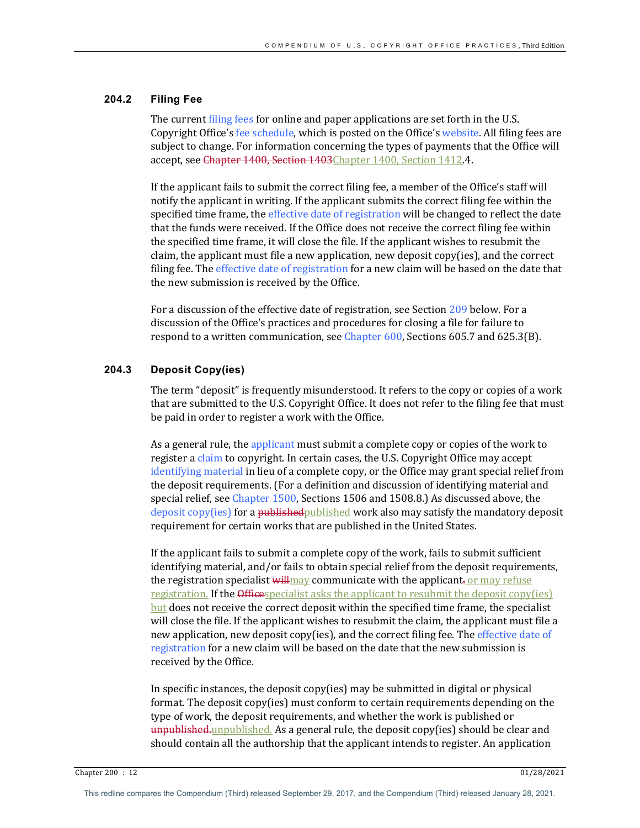## **204.2 Filing Fee**

The current filing fees for online and paper applications are set forth in the U.S. Copyright Office's fee schedule, which is posted on the Office's website. All filing fees are subject to change. For information concerning the types of payments that the Office will accept, see Chapter 1400, Section 1403Chapter 1400, Section 1412.4.

If the applicant fails to submit the correct filing fee, a member of the Office's staff will notify the applicant in writing. If the applicant submits the correct filing fee within the specified time frame, the effective date of registration will be changed to reflect the date that the funds were received. If the Office does not receive the correct filing fee within the specified time frame, it will close the file. If the applicant wishes to resubmit the claim, the applicant must file a new application, new deposit  $copy(ies)$ , and the correct filing fee. The effective date of registration for a new claim will be based on the date that the new submission is received by the Office.

For a discussion of the effective date of registration, see Section 209 below. For a discussion of the Office's practices and procedures for closing a file for failure to respond to a written communication, see Chapter  $600$ , Sections  $605.7$  and  $625.3(B)$ .

## **204.3 Deposit Copy(ies)**

The term "deposit" is frequently misunderstood. It refers to the copy or copies of a work that are submitted to the U.S. Copyright Office. It does not refer to the filing fee that must be paid in order to register a work with the Office.

As a general rule, the applicant must submit a complete copy or copies of the work to register a claim to copyright. In certain cases, the U.S. Copyright Office may accept identifying material in lieu of a complete copy, or the Office may grant special relief from the deposit requirements. (For a definition and discussion of identifying material and special relief, see Chapter  $1500$ , Sections  $1506$  and  $1508.8$ .) As discussed above, the deposit  $\text{copy}$ (ies) for a published published work also may satisfy the mandatory deposit requirement for certain works that are published in the United States.

If the applicant fails to submit a complete copy of the work, fails to submit sufficient identifying material, and/or fails to obtain special relief from the deposit requirements, the registration specialist  $\frac{1}{\text{wilmax}}$  communicate with the applicant. or may refuse registration. If the Officespecialist asks the applicant to resubmit the deposit  $\text{copy}(\text{ies})$  $but$  does not receive the correct deposit within the specified time frame, the specialist will close the file. If the applicant wishes to resubmit the claim, the applicant must file a new application, new deposit copy(ies), and the correct filing fee. The effective date of registration for a new claim will be based on the date that the new submission is received by the Office.

In specific instances, the deposit copy(ies) may be submitted in digital or physical format. The deposit  $copy(ies)$  must conform to certain requirements depending on the type of work, the deposit requirements, and whether the work is published or  $unpublished, unpublished, As a general rule, the deposit copy(ies) should be clear and$ should contain all the authorship that the applicant intends to register. An application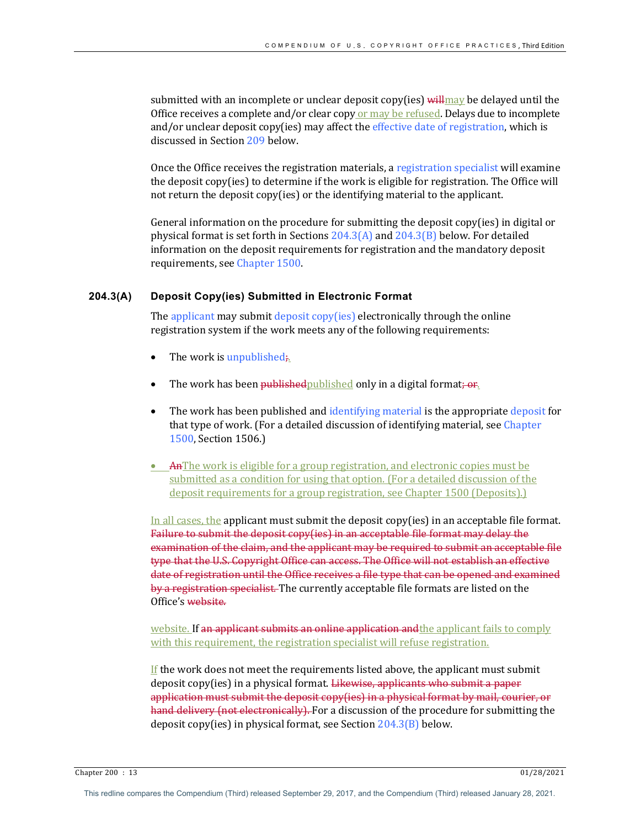submitted with an incomplete or unclear deposit copy(ies)  $\frac{1}{1}$  will may be delayed until the Office receives a complete and/or clear copy or  $\frac{m}{v}$  be refused. Delays due to incomplete and/or unclear deposit copy(ies) may affect the effective date of registration, which is discussed in Section 209 below.

Once the Office receives the registration materials, a registration specialist will examine the deposit copy(ies) to determine if the work is eligible for registration. The Office will not return the deposit copy(ies) or the identifying material to the applicant.

General information on the procedure for submitting the deposit copy(ies) in digital or physical format is set forth in Sections  $204.3(A)$  and  $204.3(B)$  below. For detailed information on the deposit requirements for registration and the mandatory deposit requirements, see Chapter 1500.

#### **204.3(A) Deposit Copy(ies) Submitted in Electronic Format**

The applicant may submit deposit copy(ies) electronically through the online registration system if the work meets any of the following requirements:

- The work is unpublished;
- The work has been *published* published only in a digital format; or.
- The work has been published and identifying material is the appropriate deposit for that type of work. (For a detailed discussion of identifying material, see Chapter 1500, Section 1506.)
- AnThe work is eligible for a group registration, and electronic copies must be submitted as a condition for using that option. (For a detailed discussion of the deposit requirements for a group registration, see Chapter 1500 (Deposits).

In all cases, the applicant must submit the deposit copy(ies) in an acceptable file format. Failure to submit the deposit copy(ies) in an acceptable file format may delay the examination of the claim, and the applicant may be required to submit an acceptable file type that the U.S. Copyright Office can access. The Office will not establish an effective date of registration until the Office receives a file type that can be opened and examined by a registration specialist. The currently acceptable file formats are listed on the Office's website.

website. If an applicant submits an online application and the applicant fails to comply with this requirement, the registration specialist will refuse registration.

If the work does not meet the requirements listed above, the applicant must submit deposit copy(ies) in a physical format. Likewise, applicants who submit a paper application must submit the deposit copy(ies) in a physical format by mail, courier, or hand delivery (not electronically). For a discussion of the procedure for submitting the deposit copy(ies) in physical format, see Section  $204.3(B)$  below.

Chapter 200 : 13 01/28/2021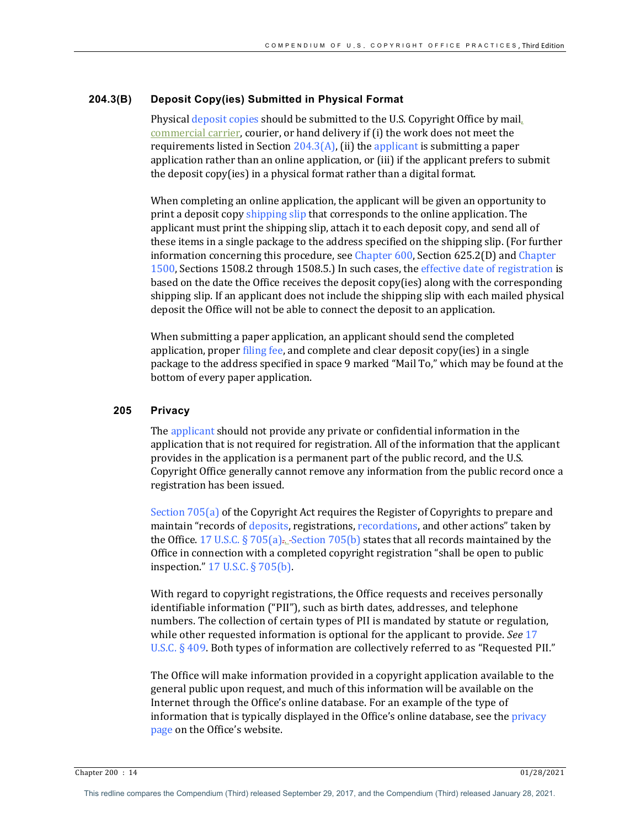#### **204.3(B) Deposit Copy(ies) Submitted in Physical Format**

Physical deposit copies should be submitted to the U.S. Copyright Office by mail. commercial carrier, courier, or hand delivery if (i) the work does not meet the requirements listed in Section  $204.3(A)$ , (ii) the applicant is submitting a paper application rather than an online application, or (iii) if the applicant prefers to submit the deposit copy(ies) in a physical format rather than a digital format.

When completing an online application, the applicant will be given an opportunity to print a deposit copy shipping slip that corresponds to the online application. The applicant must print the shipping slip, attach it to each deposit copy, and send all of these items in a single package to the address specified on the shipping slip. (For further information concerning this procedure, see Chapter  $600$ , Section  $625.2(D)$  and Chapter 1500, Sections 1508.2 through 1508.5.) In such cases, the effective date of registration is based on the date the Office receives the deposit copy(ies) along with the corresponding shipping slip. If an applicant does not include the shipping slip with each mailed physical deposit the Office will not be able to connect the deposit to an application.

When submitting a paper application, an applicant should send the completed application, proper filing fee, and complete and clear deposit copy(ies) in a single package to the address specified in space 9 marked "Mail To," which may be found at the bottom of every paper application.

## **205 Privacy**

The applicant should not provide any private or confidential information in the application that is not required for registration. All of the information that the applicant provides in the application is a permanent part of the public record, and the U.S. Copyright Office generally cannot remove any information from the public record once a registration has been issued.

Section  $705(a)$  of the Copyright Act requires the Register of Copyrights to prepare and maintain "records of deposits, registrations, recordations, and other actions" taken by the Office. 17 U.S.C. § 705(a)... Section 705(b) states that all records maintained by the Office in connection with a completed copyright registration "shall be open to public inspection."  $17 \text{ U.S.C.}$  §  $705(b)$ .

With regard to copyright registrations, the Office requests and receives personally identifiable information ("PII"), such as birth dates, addresses, and telephone numbers. The collection of certain types of PII is mandated by statute or regulation, while other requested information is optional for the applicant to provide. *See* 17 U.S.C.  $\S$  409. Both types of information are collectively referred to as "Requested PII."

The Office will make information provided in a copyright application available to the general public upon request, and much of this information will be available on the Internet through the Office's online database. For an example of the type of information that is typically displayed in the Office's online database, see the privacy page on the Office's website.

Chapter 200 : 14 01/28/2021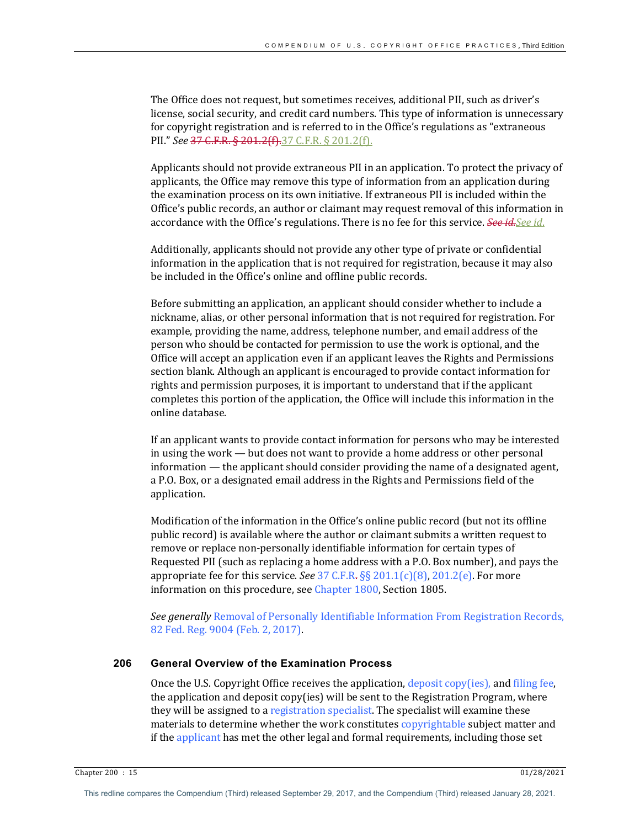The Office does not request, but sometimes receives, additional PII, such as driver's license, social security, and credit card numbers. This type of information is unnecessary for copyright registration and is referred to in the Office's regulations as "extraneous PII." See 37 C.F.R. § 201.2(f).37 C.F.R. § 201.2(f).

Applicants should not provide extraneous PII in an application. To protect the privacy of applicants, the Office may remove this type of information from an application during the examination process on its own initiative. If extraneous PII is included within the Office's public records, an author or claimant may request removal of this information in accordance with the Office's regulations. There is no fee for this service. *See id. See id.* 

Additionally, applicants should not provide any other type of private or confidential information in the application that is not required for registration, because it may also be included in the Office's online and offline public records.

Before submitting an application, an applicant should consider whether to include a nickname, alias, or other personal information that is not required for registration. For example, providing the name, address, telephone number, and email address of the person who should be contacted for permission to use the work is optional, and the Office will accept an application even if an applicant leaves the Rights and Permissions section blank. Although an applicant is encouraged to provide contact information for rights and permission purposes, it is important to understand that if the applicant completes this portion of the application, the Office will include this information in the online database.

If an applicant wants to provide contact information for persons who may be interested in using the work — but does not want to provide a home address or other personal information — the applicant should consider providing the name of a designated agent, a P.O. Box, or a designated email address in the Rights and Permissions field of the application.

Modification of the information in the Office's online public record (but not its offline public record) is available where the author or claimant submits a written request to remove or replace non-personally identifiable information for certain types of Requested PII (such as replacing a home address with a P.O. Box number), and pays the appropriate fee for this service. *See* 37 C.F.R.  $\S$  201.1(c)(8), 201.2(e). For more information on this procedure, see Chapter 1800, Section 1805.

**See generally Removal of Personally Identifiable Information From Registration Records,** 82 Fed. Reg. 9004 (Feb. 2, 2017).

## **206 General Overview of the Examination Process**

Once the U.S. Copyright Office receives the application,  $\frac{1}{2}$  deposit  $\frac{1}{2}$ , and filing fee, the application and deposit copy(ies) will be sent to the Registration Program, where they will be assigned to a registration specialist. The specialist will examine these materials to determine whether the work constitutes copyrightable subject matter and if the applicant has met the other legal and formal requirements, including those set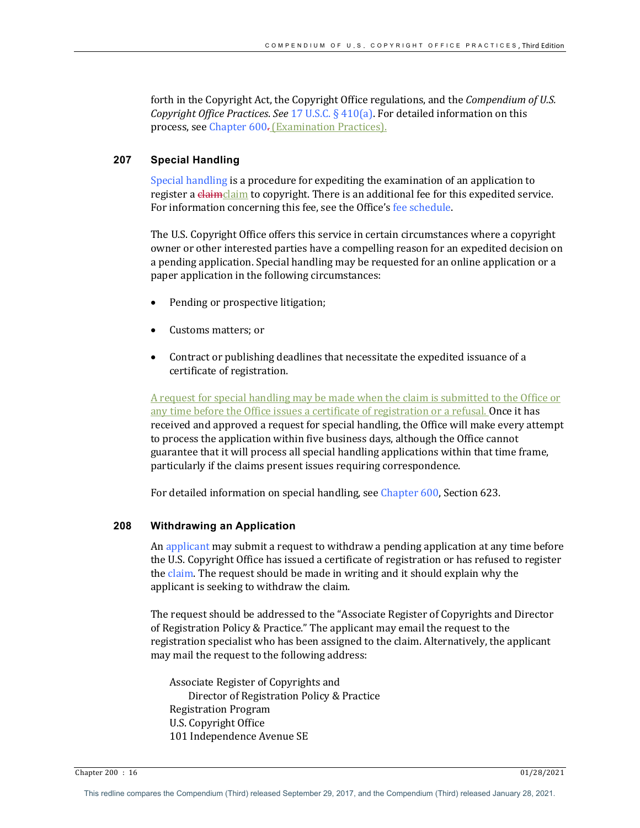forth in the Copyright Act, the Copyright Office regulations, and the *Compendium of U.S. Copyright Office Practices. See* 17 U.S.C. § 410(a). For detailed information on this process, see Chapter 600. (Examination Practices).

## **207 Special Handling**

Special handling is a procedure for expediting the examination of an application to register a claimclaim to copyright. There is an additional fee for this expedited service. For information concerning this fee, see the Office's fee schedule.

The U.S. Copyright Office offers this service in certain circumstances where a copyright owner or other interested parties have a compelling reason for an expedited decision on a pending application. Special handling may be requested for an online application or a paper application in the following circumstances:

- Pending or prospective litigation;
- Customs matters: or
- Contract or publishing deadlines that necessitate the expedited issuance of a certificate of registration.

A request for special handling may be made when the claim is submitted to the Office or any time before the Office issues a certificate of registration or a refusal. Once it has received and approved a request for special handling, the Office will make every attempt to process the application within five business days, although the Office cannot guarantee that it will process all special handling applications within that time frame, particularly if the claims present issues requiring correspondence.

For detailed information on special handling, see Chapter 600, Section 623.

## **208 Withdrawing an Application**

An applicant may submit a request to withdraw a pending application at any time before the U.S. Copyright Office has issued a certificate of registration or has refused to register the claim. The request should be made in writing and it should explain why the applicant is seeking to withdraw the claim.

The request should be addressed to the "Associate Register of Copyrights and Director of Registration Policy & Practice." The applicant may email the request to the registration specialist who has been assigned to the claim. Alternatively, the applicant may mail the request to the following address:

Associate Register of Copyrights and Director of Registration Policy & Practice Registration Program U.S. Copyright Office 101 Independence Avenue SE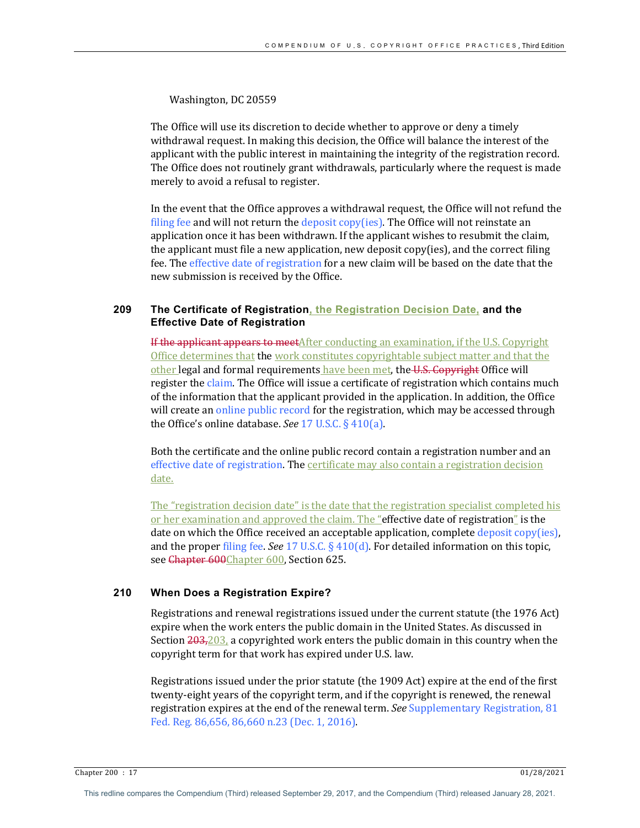Washington, DC 20559

The Office will use its discretion to decide whether to approve or deny a timely withdrawal request. In making this decision, the Office will balance the interest of the applicant with the public interest in maintaining the integrity of the registration record. The Office does not routinely grant withdrawals, particularly where the request is made merely to avoid a refusal to register.

In the event that the Office approves a withdrawal request, the Office will not refund the filing fee and will not return the deposit copy(ies). The Office will not reinstate an application once it has been withdrawn. If the applicant wishes to resubmit the claim, the applicant must file a new application, new deposit  $copy(ies)$ , and the correct filing fee. The effective date of registration for a new claim will be based on the date that the new submission is received by the Office.

## **209 The Certificate of Registration, the Registration Decision Date, and the Effective Date of Registration**

**If the applicant appears to meet**After conducting an examination, if the U.S. Copyright Office determines that the work constitutes copyrightable subject matter and that the other legal and formal requirements have been met, the U.S. Copyright Office will register the claim. The Office will issue a certificate of registration which contains much of the information that the applicant provided in the application. In addition, the Office will create an online public record for the registration, which may be accessed through the Office's online database. *See*  $17$  U.S.C.  $\S$   $410(a)$ .

Both the certificate and the online public record contain a registration number and an effective date of registration. The certificate may also contain a registration decision date. 

The "registration decision date" is the date that the registration specialist completed his or her examination and approved the claim. The "effective date of registration" is the date on which the Office received an acceptable application, complete  $\frac{deposit}{copy(ies)}$ , and the proper filing fee. See 17 U.S.C. § 410(d). For detailed information on this topic, see Chapter 600Chapter 600, Section 625.

## **210 When Does a Registration Expire?**

Registrations and renewal registrations issued under the current statute (the 1976 Act) expire when the work enters the public domain in the United States. As discussed in Section  $203,203$ , a copyrighted work enters the public domain in this country when the copyright term for that work has expired under U.S. law.

Registrations issued under the prior statute (the 1909 Act) expire at the end of the first twenty-eight years of the copyright term, and if the copyright is renewed, the renewal registration expires at the end of the renewal term. *See* Supplementary Registration, 81 Fed. Reg. 86,656, 86,660 n.23 (Dec. 1, 2016).

Chapter 200 : 17 01/28/2021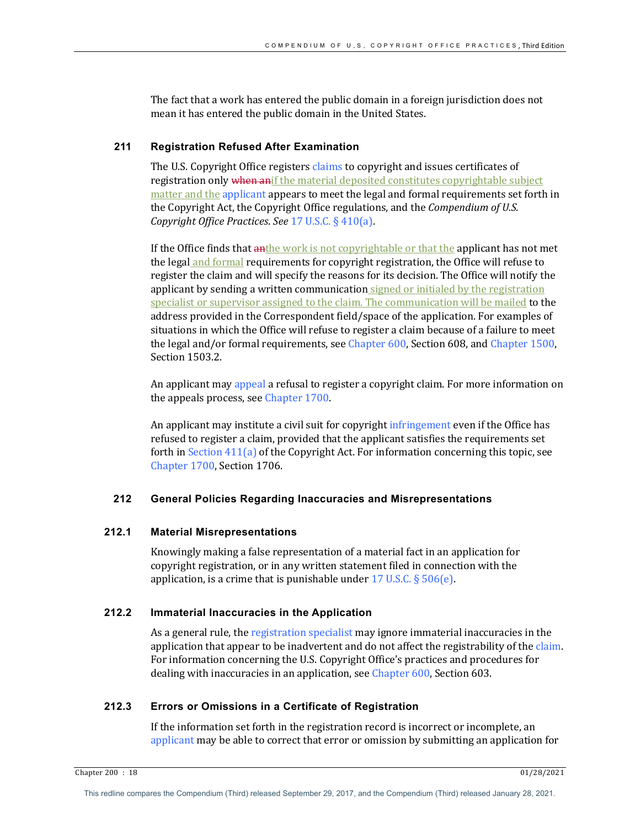The fact that a work has entered the public domain in a foreign jurisdiction does not mean it has entered the public domain in the United States.

## **211 Registration Refused After Examination**

The U.S. Copyright Office registers claims to copyright and issues certificates of registration only when anif the material deposited constitutes copyrightable subject matter and the applicant appears to meet the legal and formal requirements set forth in the Copyright Act, the Copyright Office regulations, and the *Compendium of U.S. Copyright Office Practices. See* 17 U.S.C. § 410(a).

If the Office finds that anthe work is not copyrightable or that the applicant has not met the legal and formal requirements for copyright registration, the Office will refuse to register the claim and will specify the reasons for its decision. The Office will notify the applicant by sending a written communication signed or initialed by the registration specialist or supervisor assigned to the claim. The communication will be mailed to the address provided in the Correspondent field/space of the application. For examples of situations in which the Office will refuse to register a claim because of a failure to meet the legal and/or formal requirements, see Chapter  $600$ , Section  $608$ , and Chapter 1500, Section 1503.2.

An applicant may appeal a refusal to register a copyright claim. For more information on the appeals process, see Chapter 1700.

An applicant may institute a civil suit for copyright infringement even if the Office has refused to register a claim, provided that the applicant satisfies the requirements set forth in Section  $411(a)$  of the Copyright Act. For information concerning this topic, see Chapter 1700, Section 1706.

#### **212 General Policies Regarding Inaccuracies and Misrepresentations**

#### **212.1 Material Misrepresentations**

Knowingly making a false representation of a material fact in an application for copyright registration, or in any written statement filed in connection with the application, is a crime that is punishable under  $17 \text{ U.S.C.}$  §  $506(e)$ .

## **212.2 Immaterial Inaccuracies in the Application**

As a general rule, the registration specialist may ignore immaterial inaccuracies in the application that appear to be inadvertent and do not affect the registrability of the claim. For information concerning the U.S. Copyright Office's practices and procedures for dealing with inaccuracies in an application, see Chapter 600, Section 603.

## **212.3 Errors or Omissions in a Certificate of Registration**

If the information set forth in the registration record is incorrect or incomplete, an applicant may be able to correct that error or omission by submitting an application for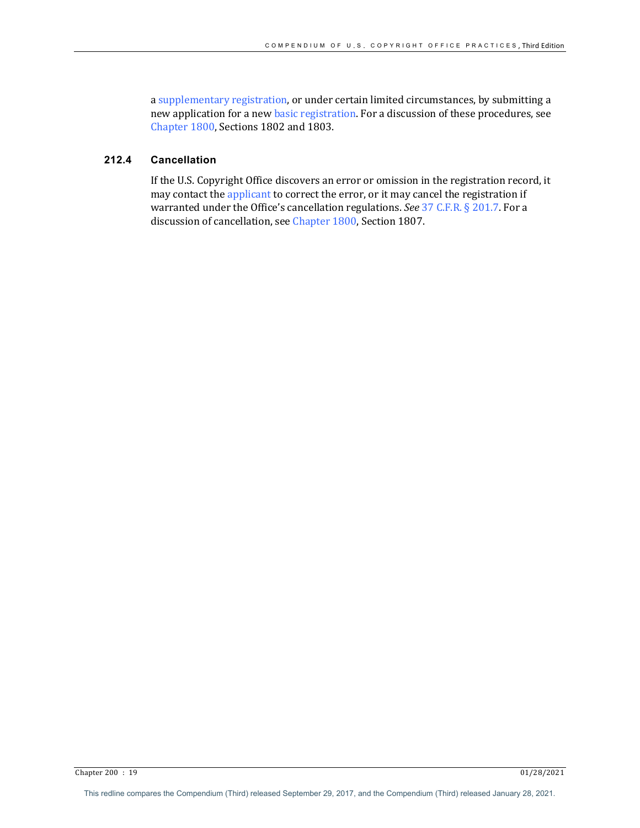a supplementary registration, or under certain limited circumstances, by submitting a new application for a new basic registration. For a discussion of these procedures, see Chapter 1800, Sections 1802 and 1803.

## **212.4 Cancellation**

If the U.S. Copyright Office discovers an error or omission in the registration record, it may contact the applicant to correct the error, or it may cancel the registration if warranted under the Office's cancellation regulations. *See* 37 C.F.R. § 201.7. For a discussion of cancellation, see Chapter 1800, Section 1807.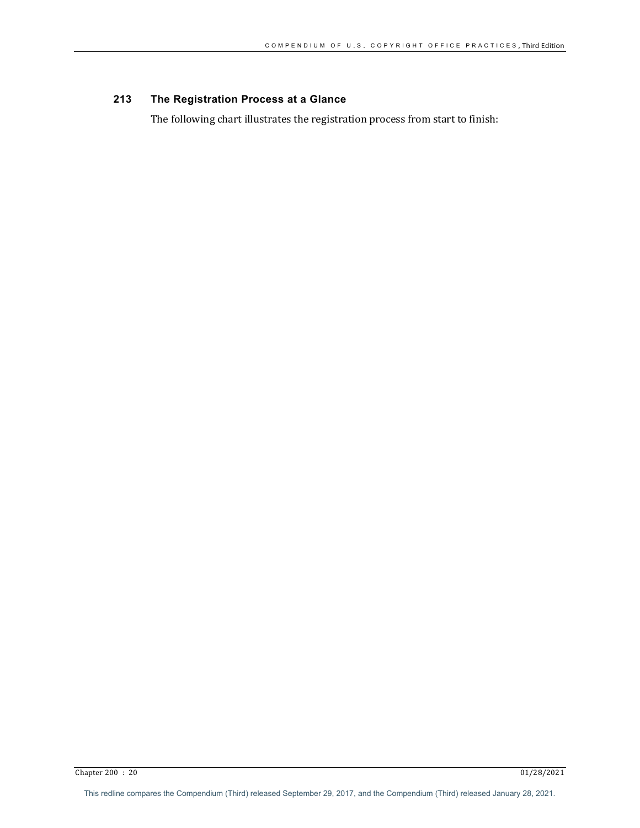# **213 The Registration Process at a Glance**

The following chart illustrates the registration process from start to finish: